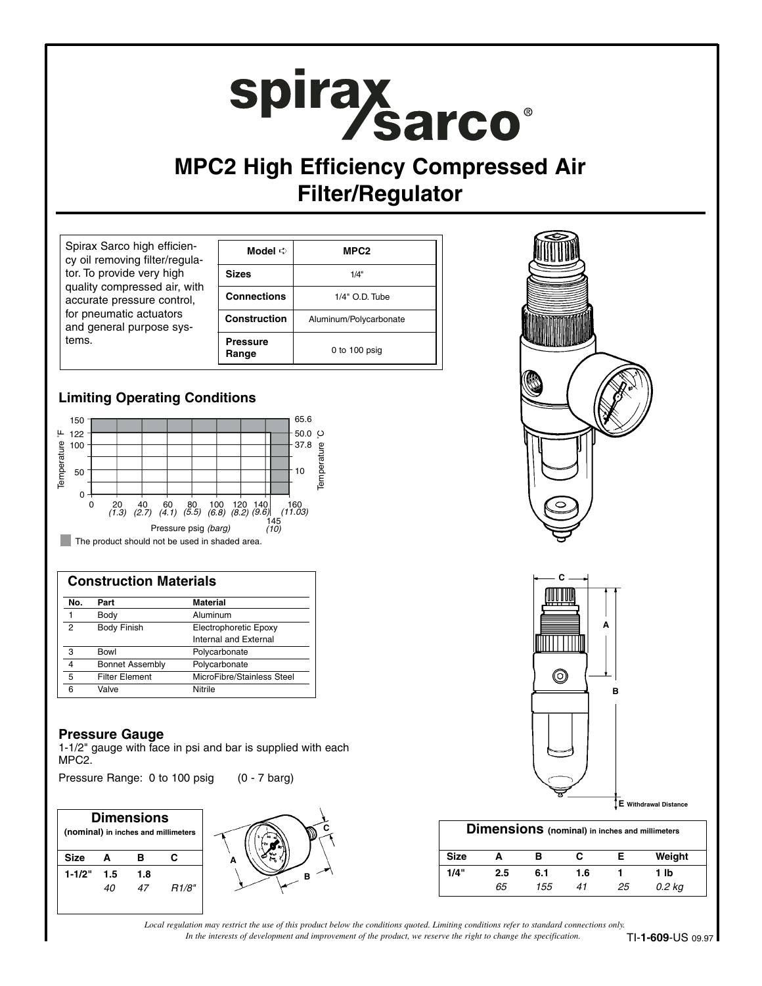# spirax sarco®

# **MPC2 High Efficiency Compressed Air Filter/Regulator**

| Spirax Sarco high efficien-<br>cy oil removing filter/regula-                                                                                           | Model $\Rightarrow$      | MPC <sub>2</sub>       |  |
|---------------------------------------------------------------------------------------------------------------------------------------------------------|--------------------------|------------------------|--|
| tor. To provide very high<br>quality compressed air, with<br>accurate pressure control,<br>for pneumatic actuators<br>and general purpose sys-<br>tems. | <b>Sizes</b>             | 1/4"                   |  |
|                                                                                                                                                         | <b>Connections</b>       | 1/4" O.D. Tube         |  |
|                                                                                                                                                         | <b>Construction</b>      | Aluminum/Polycarbonate |  |
|                                                                                                                                                         | <b>Pressure</b><br>Range | 0 to $100$ psig        |  |

### **Limiting Operating Conditions**



| <b>Construction Materials</b> |                        |                            |  |  |
|-------------------------------|------------------------|----------------------------|--|--|
| No.                           | Part                   | <b>Material</b>            |  |  |
|                               | Body                   | Aluminum                   |  |  |
| 2                             | <b>Body Finish</b>     | Electrophoretic Epoxy      |  |  |
|                               |                        | Internal and External      |  |  |
| 3                             | Bowl                   | Polycarbonate              |  |  |
| 4                             | <b>Bonnet Assembly</b> | Polycarbonate              |  |  |
| 5                             | <b>Filter Element</b>  | MicroFibre/Stainless Steel |  |  |
| 6                             | Valve                  | Nitrile                    |  |  |

#### **Pressure Gauge**

1-1/2" gauge with face in psi and bar is supplied with each MPC2.

Pressure Range: 0 to 100 psig (0 - 7 barg)

| <b>Dimensions</b><br>(nominal) in inches and millimeters |     |     |       |  |
|----------------------------------------------------------|-----|-----|-------|--|
| <b>Size</b>                                              | A   | в   | c     |  |
| $1 - 1/2"$                                               | 1.5 | 1.8 |       |  |
|                                                          | 40  | 47  | R1/8" |  |



| <b>Dimensions</b> (nominal) in inches and millimeters |     |     |     |    |        |  |  |
|-------------------------------------------------------|-----|-----|-----|----|--------|--|--|
| <b>Size</b>                                           | А   | в   | с   |    | Weight |  |  |
| 1/4"                                                  | 2.5 | 6.1 | 1.6 |    | 1 lb   |  |  |
|                                                       | 65  | 155 | 41  | 25 | 0.2 kg |  |  |

*In the interests of development and improvement of the product, we reserve the right to change the specification. Local regulation may restrict the use of this product below the conditions quoted. Limiting conditions refer to standard connections only.*

**B**

**C**